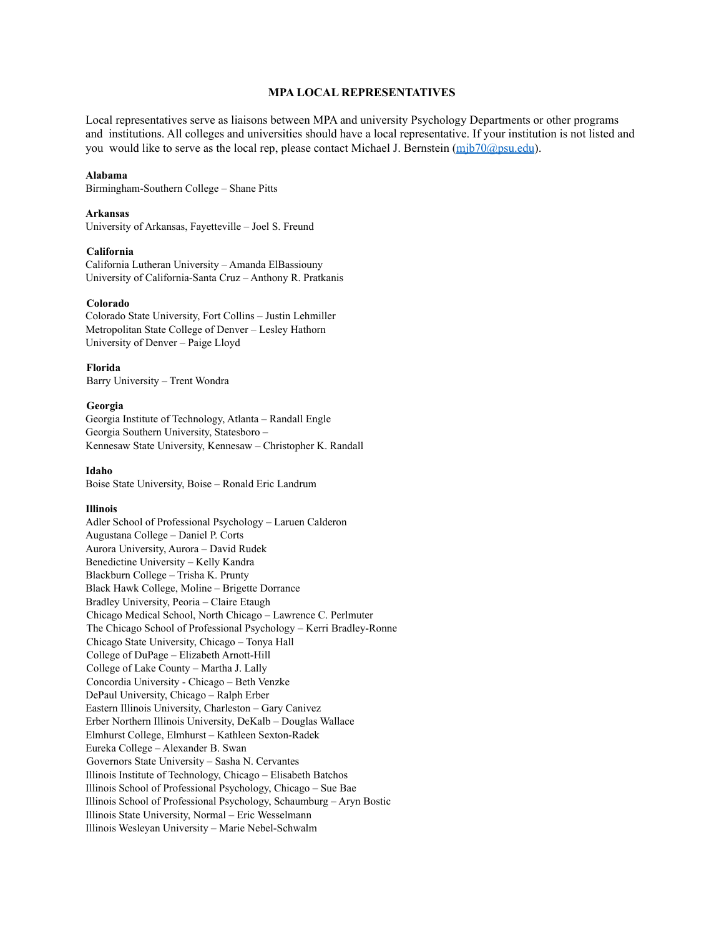# **MPA LOCAL REPRESENTATIVES**

Local representatives serve as liaisons between MPA and university Psychology Departments or other programs and institutions. All colleges and universities should have a local representative. If your institution is not listed and you would like to serve as the local rep, please contact Michael J. Bernstein (mjb70@psu.edu).

#### **Alabama**

Birmingham-Southern College – Shane Pitts

# **Arkansas**

University of Arkansas, Fayetteville – Joel S. Freund

#### **California**

California Lutheran University – Amanda ElBassiouny University of California-Santa Cruz – Anthony R. Pratkanis

#### **Colorado**

Colorado State University, Fort Collins – Justin Lehmiller Metropolitan State College of Denver – Lesley Hathorn University of Denver – Paige Lloyd

**Florida** Barry University – Trent Wondra

### **Georgia**

Georgia Institute of Technology, Atlanta – Randall Engle Georgia Southern University, Statesboro – Kennesaw State University, Kennesaw – Christopher K. Randall

#### **Idaho**

Boise State University, Boise – Ronald Eric Landrum

#### **Illinois**

Adler School of Professional Psychology – Laruen Calderon Augustana College – Daniel P. Corts Aurora University, Aurora – David Rudek Benedictine University – Kelly Kandra Blackburn College – Trisha K. Prunty Black Hawk College, Moline – Brigette Dorrance Bradley University, Peoria – Claire Etaugh Chicago Medical School, North Chicago – Lawrence C. Perlmuter The Chicago School of Professional Psychology – Kerri Bradley-Ronne Chicago State University, Chicago – Tonya Hall College of DuPage – Elizabeth Arnott-Hill College of Lake County – Martha J. Lally Concordia University - Chicago – Beth Venzke DePaul University, Chicago – Ralph Erber Eastern Illinois University, Charleston – Gary Canivez Erber Northern Illinois University, DeKalb – Douglas Wallace Elmhurst College, Elmhurst – Kathleen Sexton-Radek Eureka College – Alexander B. Swan Governors State University – Sasha N. Cervantes Illinois Institute of Technology, Chicago – Elisabeth Batchos Illinois School of Professional Psychology, Chicago – Sue Bae Illinois School of Professional Psychology, Schaumburg – Aryn Bostic Illinois State University, Normal – Eric Wesselmann Illinois Wesleyan University – Marie Nebel-Schwalm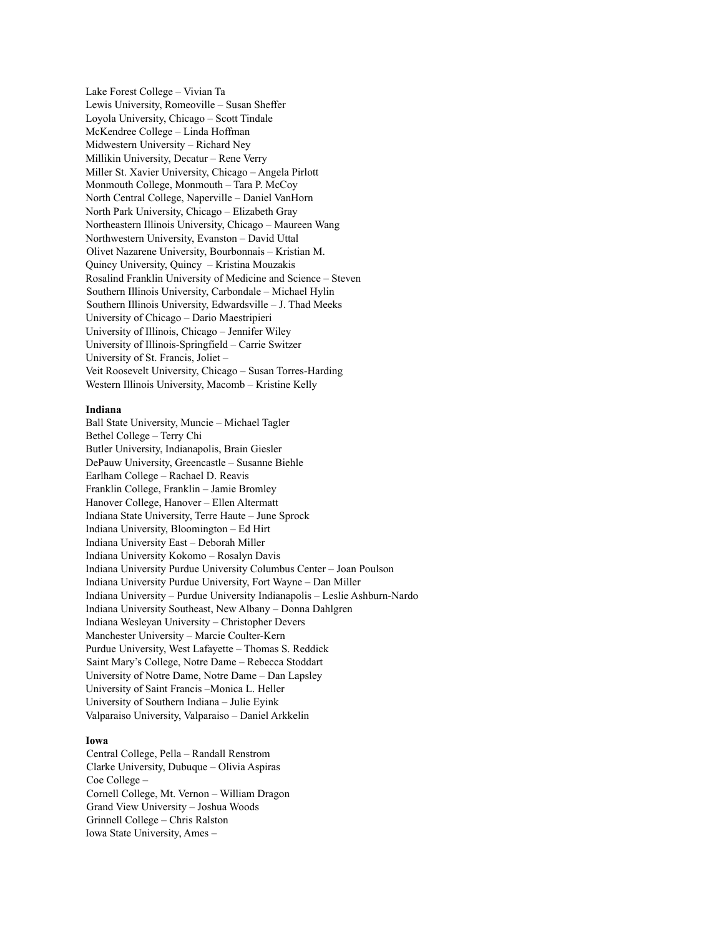Lake Forest College – Vivian Ta Lewis University, Romeoville – Susan Sheffer Loyola University, Chicago – Scott Tindale McKendree College – Linda Hoffman Midwestern University – Richard Ney Millikin University, Decatur – Rene Verry Miller St. Xavier University, Chicago – Angela Pirlott Monmouth College, Monmouth – Tara P. McCoy North Central College, Naperville – Daniel VanHorn North Park University, Chicago – Elizabeth Gray Northeastern Illinois University, Chicago – Maureen Wang Northwestern University, Evanston – David Uttal Olivet Nazarene University, Bourbonnais – Kristian M. Quincy University, Quincy – Kristina Mouzakis Rosalind Franklin University of Medicine and Science – Steven Southern Illinois University, Carbondale – Michael Hylin Southern Illinois University, Edwardsville – J. Thad Meeks University of Chicago – Dario Maestripieri University of Illinois, Chicago – Jennifer Wiley University of Illinois-Springfield – Carrie Switzer University of St. Francis, Joliet – Veit Roosevelt University, Chicago – Susan Torres-Harding Western Illinois University, Macomb – Kristine Kelly

#### **Indiana**

Ball State University, Muncie – Michael Tagler Bethel College – Terry Chi Butler University, Indianapolis, Brain Giesler DePauw University, Greencastle – Susanne Biehle Earlham College – Rachael D. Reavis Franklin College, Franklin – Jamie Bromley Hanover College, Hanover – Ellen Altermatt Indiana State University, Terre Haute – June Sprock Indiana University, Bloomington – Ed Hirt Indiana University East – Deborah Miller Indiana University Kokomo – Rosalyn Davis Indiana University Purdue University Columbus Center – Joan Poulson Indiana University Purdue University, Fort Wayne – Dan Miller Indiana University – Purdue University Indianapolis – Leslie Ashburn-Nardo Indiana University Southeast, New Albany – Donna Dahlgren Indiana Wesleyan University – Christopher Devers Manchester University – Marcie Coulter-Kern Purdue University, West Lafayette – Thomas S. Reddick Saint Mary's College, Notre Dame – Rebecca Stoddart University of Notre Dame, Notre Dame – Dan Lapsley University of Saint Francis –Monica L. Heller University of Southern Indiana – Julie Eyink Valparaiso University, Valparaiso – Daniel Arkkelin

### **Iowa**

Central College, Pella – Randall Renstrom Clarke University, Dubuque – Olivia Aspiras Coe College – Cornell College, Mt. Vernon – William Dragon Grand View University – Joshua Woods Grinnell College – Chris Ralston Iowa State University, Ames –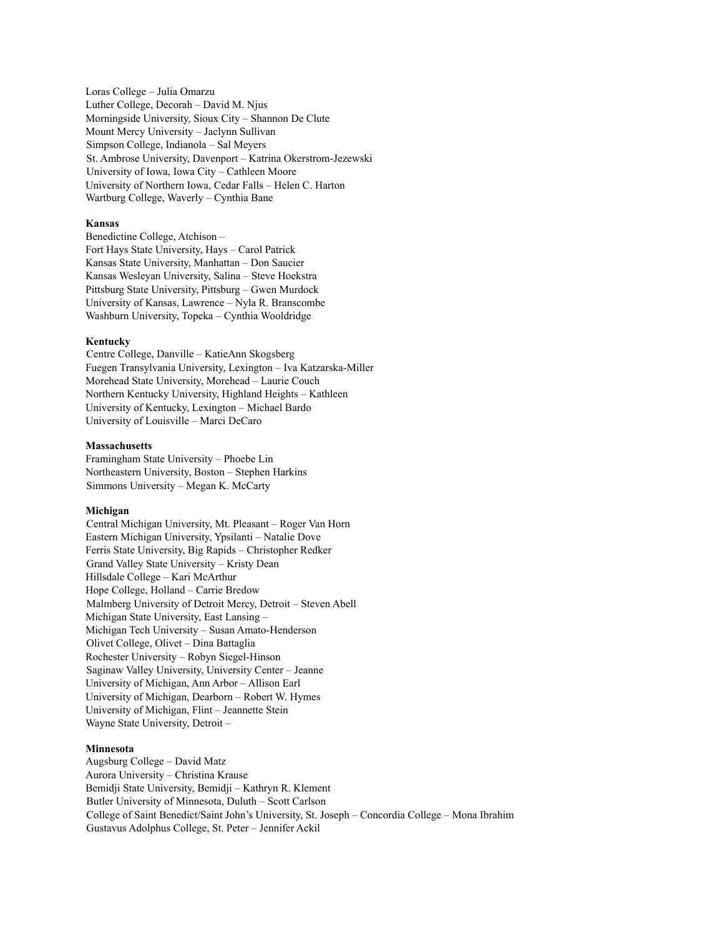Loras College – Julia Omarzu Luther College, Decorah – David M. Njus Morningside University, Sioux City – Shannon De Clute Mount Mercy University – Jaclynn Sullivan Simpson College, Indianola – Sal Meyers St. Ambrose University, Davenport – Katrina Okerstrom-Jezewski University of Iowa, Iowa City – Cathleen Moore University of Northern Iowa, Cedar Falls – Helen C. Harton Wartburg College, Waverly – Cynthia Bane

### **Kansas**

Benedictine College, Atchison – Fort Hays State University, Hays – Carol Patrick Kansas State University, Manhattan – Don Saucier Kansas Wesleyan University, Salina – Steve Hoekstra Pittsburg State University, Pittsburg – Gwen Murdock University of Kansas, Lawrence – Nyla R. Branscombe Washburn University, Topeka – Cynthia Wooldridge

### **Kentucky**

Centre College, Danville – KatieAnn Skogsberg Fuegen Transylvania University, Lexington – Iva Katzarska-Miller Morehead State University, Morehead – Laurie Couch Northern Kentucky University, Highland Heights – Kathleen University of Kentucky, Lexington – Michael Bardo University of Louisville – Marci DeCaro

#### **Massachusetts**

Framingham State University – Phoebe Lin Northeastern University, Boston – Stephen Harkins Simmons University – Megan K. McCarty

#### **Michigan**

Central Michigan University, Mt. Pleasant – Roger Van Horn Eastern Michigan University, Ypsilanti – Natalie Dove Ferris State University, Big Rapids – Christopher Redker Grand Valley State University – Kristy Dean Hillsdale College – Kari McArthur Hope College, Holland – Carrie Bredow Malmberg University of Detroit Mercy, Detroit – Steven Abell Michigan State University, East Lansing – Michigan Tech University – Susan Amato-Henderson Olivet College, Olivet – Dina Battaglia Rochester University – Robyn Siegel-Hinson Saginaw Valley University, University Center – Jeanne University of Michigan, Ann Arbor – Allison Earl University of Michigan, Dearborn – Robert W. Hymes University of Michigan, Flint – Jeannette Stein Wayne State University, Detroit –

#### **Minnesota**

Augsburg College – David Matz Aurora University – Christina Krause Bemidji State University, Bemidji – Kathryn R. Klement Butler University of Minnesota, Duluth – Scott Carlson College of Saint Benedict/Saint John's University, St. Joseph – Concordia College – Mona Ibrahim Gustavus Adolphus College, St. Peter – Jennifer Ackil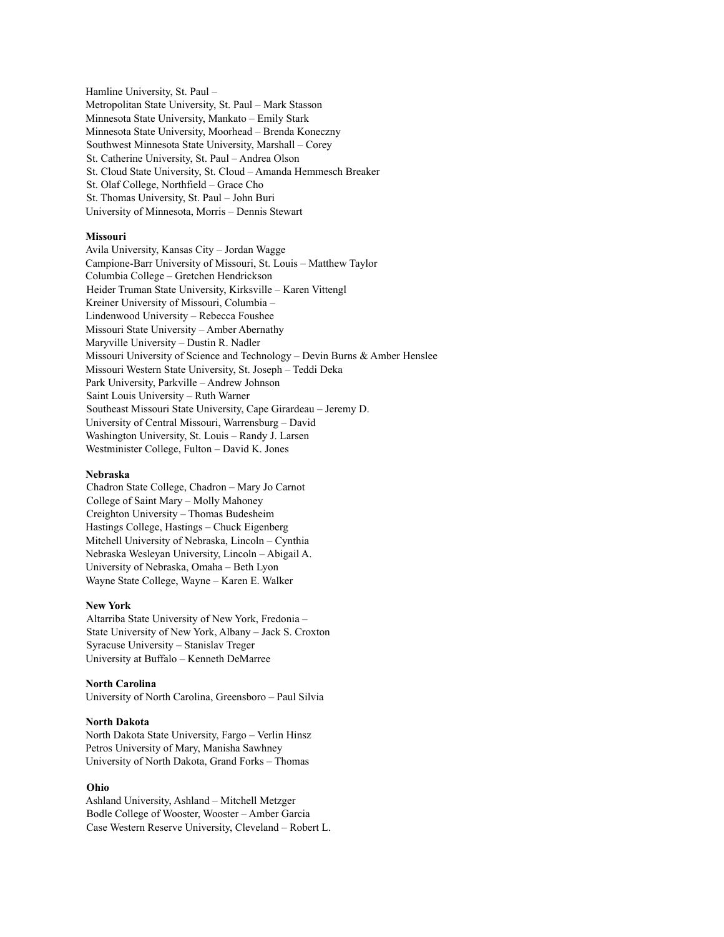Hamline University, St. Paul – Metropolitan State University, St. Paul – Mark Stasson Minnesota State University, Mankato – Emily Stark Minnesota State University, Moorhead – Brenda Koneczny Southwest Minnesota State University, Marshall – Corey St. Catherine University, St. Paul – Andrea Olson St. Cloud State University, St. Cloud – Amanda Hemmesch Breaker St. Olaf College, Northfield – Grace Cho St. Thomas University, St. Paul – John Buri University of Minnesota, Morris – Dennis Stewart

### **Missouri**

Avila University, Kansas City – Jordan Wagge Campione-Barr University of Missouri, St. Louis – Matthew Taylor Columbia College – Gretchen Hendrickson Heider Truman State University, Kirksville – Karen Vittengl Kreiner University of Missouri, Columbia – Lindenwood University – Rebecca Foushee Missouri State University – Amber Abernathy Maryville University – Dustin R. Nadler Missouri University of Science and Technology – Devin Burns & Amber Henslee Missouri Western State University, St. Joseph – Teddi Deka Park University, Parkville – Andrew Johnson Saint Louis University – Ruth Warner Southeast Missouri State University, Cape Girardeau – Jeremy D. University of Central Missouri, Warrensburg – David Washington University, St. Louis – Randy J. Larsen Westminister College, Fulton – David K. Jones

#### **Nebraska**

Chadron State College, Chadron – Mary Jo Carnot College of Saint Mary – Molly Mahoney Creighton University – Thomas Budesheim Hastings College, Hastings – Chuck Eigenberg Mitchell University of Nebraska, Lincoln – Cynthia Nebraska Wesleyan University, Lincoln – Abigail A. University of Nebraska, Omaha – Beth Lyon Wayne State College, Wayne – Karen E. Walker

#### **New York**

Altarriba State University of New York, Fredonia – State University of New York, Albany – Jack S. Croxton Syracuse University – Stanislav Treger University at Buffalo – Kenneth DeMarree

### **North Carolina**

University of North Carolina, Greensboro – Paul Silvia

### **North Dakota**

North Dakota State University, Fargo – Verlin Hinsz Petros University of Mary, Manisha Sawhney University of North Dakota, Grand Forks – Thomas

# **Ohio**

Ashland University, Ashland – Mitchell Metzger Bodle College of Wooster, Wooster – Amber Garcia Case Western Reserve University, Cleveland – Robert L.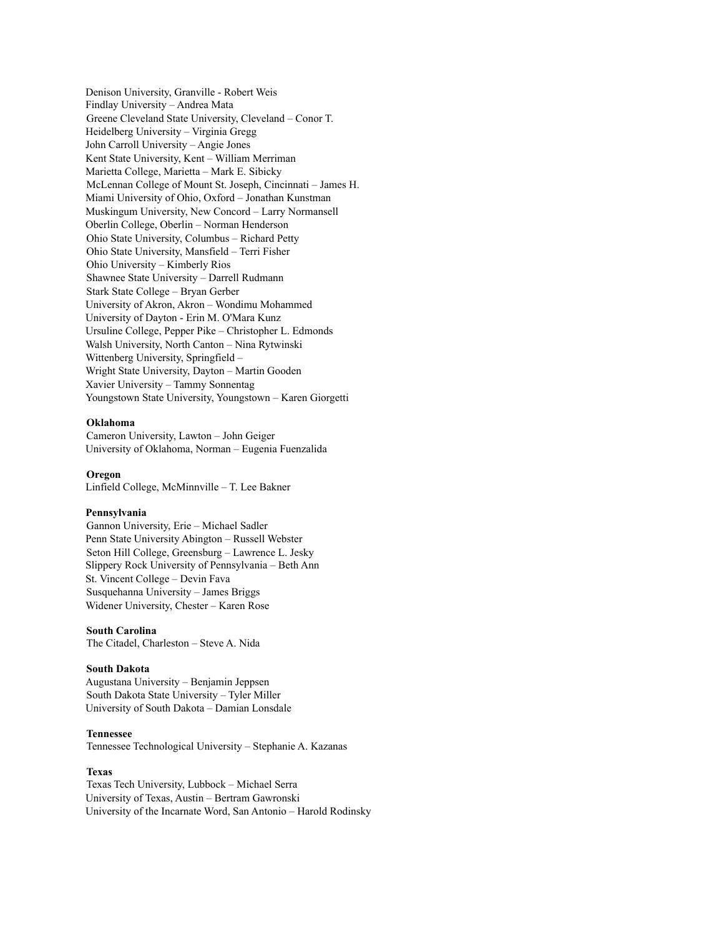Denison University, Granville - Robert Weis Findlay University – Andrea Mata Greene Cleveland State University, Cleveland – Conor T. Heidelberg University – Virginia Gregg John Carroll University – Angie Jones Kent State University, Kent – William Merriman Marietta College, Marietta – Mark E. Sibicky McLennan College of Mount St. Joseph, Cincinnati – James H. Miami University of Ohio, Oxford – Jonathan Kunstman Muskingum University, New Concord – Larry Normansell Oberlin College, Oberlin – Norman Henderson Ohio State University, Columbus – Richard Petty Ohio State University, Mansfield – Terri Fisher Ohio University – Kimberly Rios Shawnee State University – Darrell Rudmann Stark State College – Bryan Gerber University of Akron, Akron – Wondimu Mohammed University of Dayton - Erin M. O'Mara Kunz Ursuline College, Pepper Pike – Christopher L. Edmonds Walsh University, North Canton – Nina Rytwinski Wittenberg University, Springfield – Wright State University, Dayton – Martin Gooden Xavier University – Tammy Sonnentag Youngstown State University, Youngstown – Karen Giorgetti

### **Oklahoma**

Cameron University, Lawton – John Geiger University of Oklahoma, Norman – Eugenia Fuenzalida

#### **Oregon**

Linfield College, McMinnville – T. Lee Bakner

#### **Pennsylvania**

Gannon University, Erie – Michael Sadler Penn State University Abington – Russell Webster Seton Hill College, Greensburg – Lawrence L. Jesky Slippery Rock University of Pennsylvania – Beth Ann St. Vincent College – Devin Fava Susquehanna University – James Briggs Widener University, Chester – Karen Rose

# **South Carolina**

The Citadel, Charleston – Steve A. Nida

### **South Dakota**

Augustana University – Benjamin Jeppsen South Dakota State University – Tyler Miller University of South Dakota – Damian Lonsdale

### **Tennessee**

Tennessee Technological University – Stephanie A. Kazanas

#### **Texas**

Texas Tech University, Lubbock – Michael Serra University of Texas, Austin – Bertram Gawronski University of the Incarnate Word, San Antonio – Harold Rodinsky